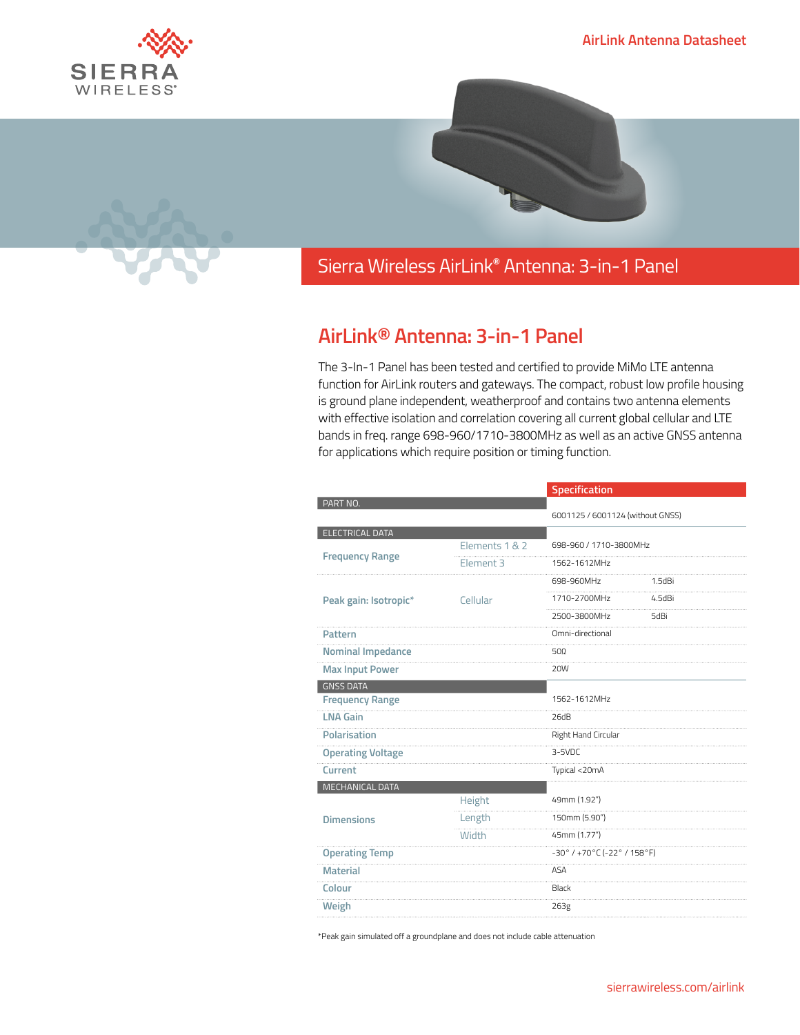



## Sierra Wireless **EMBEDDED MODULES HL SERIES** AirLink**®** Antenna: 3-in-1 Panel

## **AirLink® Antenna: 3-in-1 Panel**

The 3-In-1 Panel has been tested and certified to provide MiMo LTE antenna function for AirLink routers and gateways. The compact, robust low profile housing is ground plane independent, weatherproof and contains two antenna elements with effective isolation and correlation covering all current global cellular and LTE bands in freq. range 698-960/1710-3800MHz as well as an active GNSS antenna for applications which require position or timing function.

|                          |                      | Specification                                                        |              |
|--------------------------|----------------------|----------------------------------------------------------------------|--------------|
| PART NO.                 |                      |                                                                      |              |
|                          |                      | 6001125 / 6001124 (without GNSS)                                     |              |
| <b>ELECTRICAL DATA</b>   |                      |                                                                      |              |
| <b>Frequency Range</b>   | Elements 1 & 2       | 698-960 / 1710-3800MHz                                               |              |
|                          | Element <sub>3</sub> | 1562-1612MHz                                                         |              |
| Peak gain: Isotropic*    | Cellular             | 698-960MHz                                                           | $1.5$ d $Bi$ |
|                          |                      | 1710-2700MHz                                                         | 4.5dBi       |
|                          |                      | 2500-3800MHz                                                         | 5dBi         |
| Pattern                  |                      | Omni-directional                                                     |              |
| <b>Nominal Impedance</b> |                      | $50\Omega$                                                           |              |
| <b>Max Input Power</b>   |                      | <b>20W</b>                                                           |              |
| <b>GNSS DATA</b>         |                      |                                                                      |              |
| <b>Frequency Range</b>   |                      | 1562-1612MHz                                                         |              |
| <b>LNA Gain</b>          |                      | 26dB                                                                 |              |
| Polarisation             |                      | Right Hand Circular                                                  |              |
| <b>Operating Voltage</b> |                      | $3-5VDC$                                                             |              |
| Current                  |                      | Typical <20mA                                                        |              |
| MECHANICAL DATA          |                      |                                                                      |              |
| <b>Dimensions</b>        | Height               | 49mm (1.92")                                                         |              |
|                          | Length               | 150mm (5.90")                                                        |              |
|                          | <b>Width</b>         | 45mm (1.77")                                                         |              |
| <b>Operating Temp</b>    |                      | $-30^{\circ}$ / +70 $^{\circ}$ C (-22 $^{\circ}$ / 158 $^{\circ}$ F) |              |
| <b>Material</b>          |                      | ASA                                                                  |              |
| Colour                   |                      | Black                                                                |              |
| Weigh                    |                      | 263g                                                                 |              |

\*Peak gain simulated off a groundplane and does not include cable attenuation